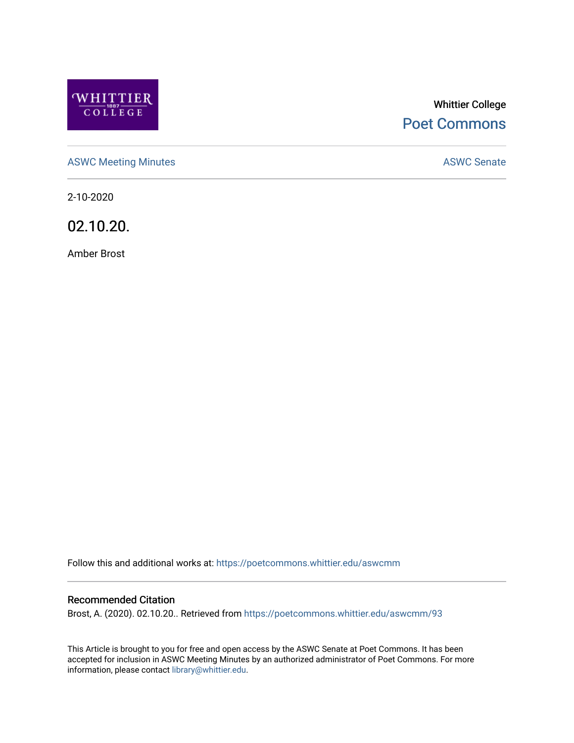

# Whittier College [Poet Commons](https://poetcommons.whittier.edu/)

[ASWC Meeting Minutes](https://poetcommons.whittier.edu/aswcmm) **ASWC Senate** 

2-10-2020

02.10.20.

Amber Brost

Follow this and additional works at: [https://poetcommons.whittier.edu/aswcmm](https://poetcommons.whittier.edu/aswcmm?utm_source=poetcommons.whittier.edu%2Faswcmm%2F93&utm_medium=PDF&utm_campaign=PDFCoverPages)

#### Recommended Citation

Brost, A. (2020). 02.10.20.. Retrieved from [https://poetcommons.whittier.edu/aswcmm/93](https://poetcommons.whittier.edu/aswcmm/93?utm_source=poetcommons.whittier.edu%2Faswcmm%2F93&utm_medium=PDF&utm_campaign=PDFCoverPages)

This Article is brought to you for free and open access by the ASWC Senate at Poet Commons. It has been accepted for inclusion in ASWC Meeting Minutes by an authorized administrator of Poet Commons. For more information, please contact [library@whittier.edu.](mailto:library@whittier.edu)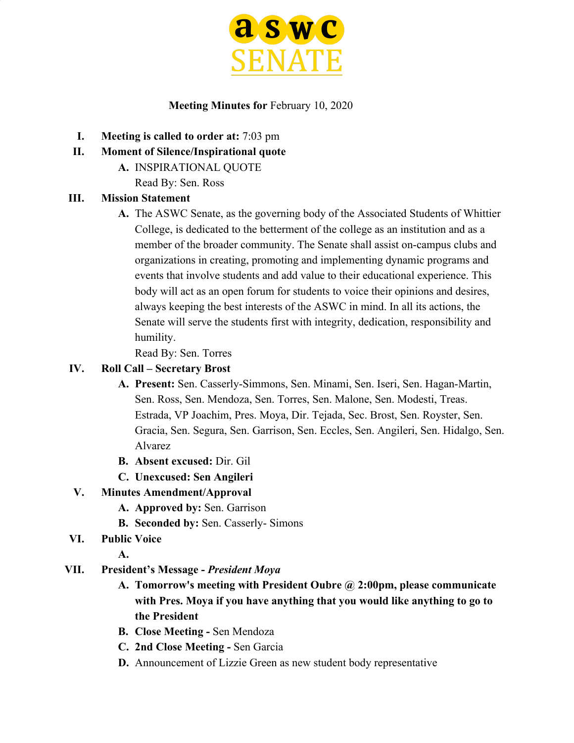

#### **Meeting Minutes for** February 10, 2020

- **I. Meeting is called to order at:** 7:03 pm
- **II. Moment of Silence/Inspirational quote**
	- **A.** INSPIRATIONAL QUOTE
		- Read By: Sen. Ross

#### **III. Mission Statement**

**A.** The ASWC Senate, as the governing body of the Associated Students of Whittier College, is dedicated to the betterment of the college as an institution and as a member of the broader community. The Senate shall assist on-campus clubs and organizations in creating, promoting and implementing dynamic programs and events that involve students and add value to their educational experience. This body will act as an open forum for students to voice their opinions and desires, always keeping the best interests of the ASWC in mind. In all its actions, the Senate will serve the students first with integrity, dedication, responsibility and humility.

Read By: Sen. Torres

#### **IV. Roll Call – Secretary Brost**

- **A. Present:** Sen. Casserly-Simmons, Sen. Minami, Sen. Iseri, Sen. Hagan-Martin, Sen. Ross, Sen. Mendoza, Sen. Torres, Sen. Malone, Sen. Modesti, Treas. Estrada, VP Joachim, Pres. Moya, Dir. Tejada, Sec. Brost, Sen. Royster, Sen. Gracia, Sen. Segura, Sen. Garrison, Sen. Eccles, Sen. Angileri, Sen. Hidalgo, Sen. Alvarez
- **B. Absent excused:** Dir. Gil
- **C. Unexcused: Sen Angileri**

### **V. Minutes Amendment/Approval**

- **A. Approved by:** Sen. Garrison
- **B. Seconded by:** Sen. Casserly- Simons
- **VI. Public Voice**
	- **A.**

#### **VII. President's Message -** *President Moya*

- **A. Tomorrow's meeting with President Oubre @ 2:00pm, please communicate with Pres. Moya if you have anything that you would like anything to go to the President**
- **B. Close Meeting** Sen Mendoza
- **C. 2nd Close Meeting** Sen Garcia
- **D.** Announcement of Lizzie Green as new student body representative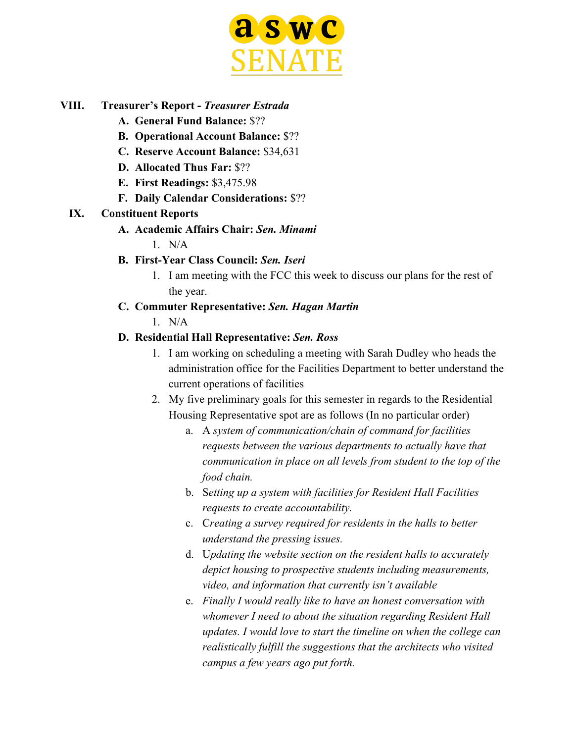

#### **VIII. Treasurer's Report -** *Treasurer Estrada*

- **A. General Fund Balance:** \$??
- **B. Operational Account Balance:** \$??
- **C. Reserve Account Balance:** \$34,631
- **D. Allocated Thus Far:** \$??
- **E. First Readings:** \$3,475.98
- **F. Daily Calendar Considerations:** \$??

#### **IX. Constituent Reports**

#### **A. Academic Affairs Chair:** *Sen. Minami*

 $1$  N/A

### **B. First-Year Class Council:** *Sen. Iseri*

1. I am meeting with the FCC this week to discuss our plans for the rest of the year.

#### **C. Commuter Representative:** *Sen. Hagan Martin*

 $1$  N/A

#### **D. Residential Hall Representative:** *Sen. Ross*

- 1. I am working on scheduling a meeting with Sarah Dudley who heads the administration office for the Facilities Department to better understand the current operations of facilities
- 2. My five preliminary goals for this semester in regards to the Residential Housing Representative spot are as follows (In no particular order)
	- a. A *system of communication/chain of command for facilities requests between the various departments to actually have that communication in place on all levels from student to the top of the food chain.*
	- b. S*etting up a system with facilities for Resident Hall Facilities requests to create accountability.*
	- c. C*reating a survey required for residents in the halls to better understand the pressing issues.*
	- d. U*pdating the website section on the resident halls to accurately depict housing to prospective students including measurements, video, and information that currently isn't available*
	- e. *Finally I would really like to have an honest conversation with whomever I need to about the situation regarding Resident Hall updates. I would love to start the timeline on when the college can realistically fulfill the suggestions that the architects who visited campus a few years ago put forth.*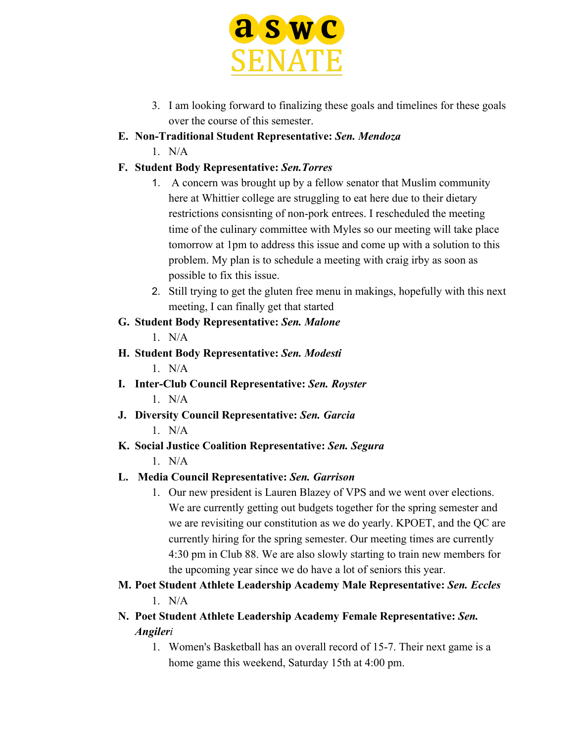

- 3. I am looking forward to finalizing these goals and timelines for these goals over the course of this semester.
- **E. Non-Traditional Student Representative:** *Sen. Mendoza*
	- $1$  N/A

## **F. Student Body Representative:** *Sen.Torres*

- 1. A concern was brought up by a fellow senator that Muslim community here at Whittier college are struggling to eat here due to their dietary restrictions consisnting of non-pork entrees. I rescheduled the meeting time of the culinary committee with Myles so our meeting will take place tomorrow at 1pm to address this issue and come up with a solution to this problem. My plan is to schedule a meeting with craig irby as soon as possible to fix this issue.
- 2. Still trying to get the gluten free menu in makings, hopefully with this next meeting, I can finally get that started

### **G. Student Body Representative:** *Sen. Malone*

1. N/A

- **H. Student Body Representative:** *Sen. Modesti* 1. N/A
- **I. Inter-Club Council Representative:** *Sen. Royster*  $1$  N/A
- **J. Diversity Council Representative:** *Sen. Garcia*  $1$  N/A

# **K. Social Justice Coalition Representative:** *Sen. Segura*

 $1$  N/A

# **L. Media Council Representative:** *Sen. Garrison*

- 1. Our new president is Lauren Blazey of VPS and we went over elections. We are currently getting out budgets together for the spring semester and we are revisiting our constitution as we do yearly. KPOET, and the QC are currently hiring for the spring semester. Our meeting times are currently 4:30 pm in Club 88. We are also slowly starting to train new members for the upcoming year since we do have a lot of seniors this year.
- **M. Poet Student Athlete Leadership Academy Male Representative:** *Sen. Eccles* 1. N/A
- **N. Poet Student Athlete Leadership Academy Female Representative:** *Sen. Angileri*
	- 1. Women's Basketball has an overall record of 15-7. Their next game is a home game this weekend, Saturday 15th at 4:00 pm.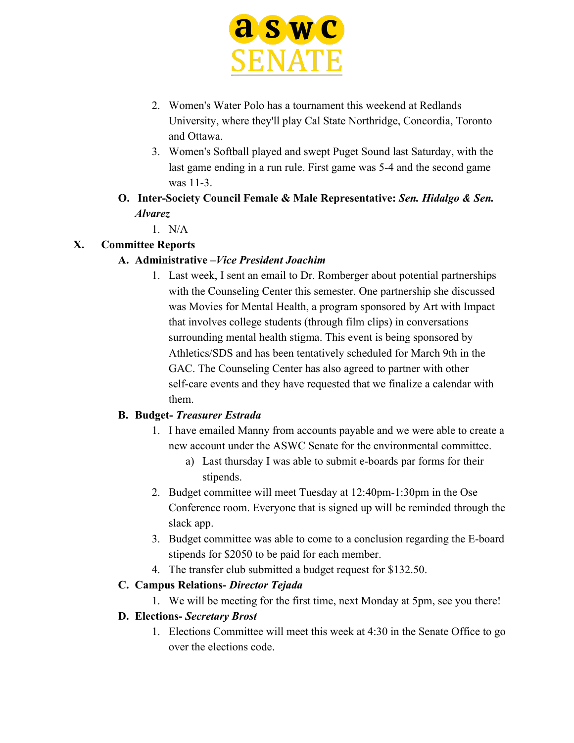

- 2. Women's Water Polo has a tournament this weekend at Redlands University, where they'll play Cal State Northridge, Concordia, Toronto and Ottawa.
- 3. Women's Softball played and swept Puget Sound last Saturday, with the last game ending in a run rule. First game was 5-4 and the second game was 11-3.
- **O. Inter-Society Council Female & Male Representative:** *Sen. Hidalgo & Sen. Alvarez*
	- 1. N/A

### **X. Committee Reports**

### **A. Administrative –***Vice President Joachim*

1. Last week, I sent an email to Dr. Romberger about potential partnerships with the Counseling Center this semester. One partnership she discussed was Movies for Mental Health, a program sponsored by Art with Impact that involves college students (through film clips) in conversations surrounding mental health stigma. This event is being sponsored by Athletics/SDS and has been tentatively scheduled for March 9th in the GAC. The Counseling Center has also agreed to partner with other self-care events and they have requested that we finalize a calendar with them.

### **B. Budget-** *Treasurer Estrada*

- 1. I have emailed Manny from accounts payable and we were able to create a new account under the ASWC Senate for the environmental committee.
	- a) Last thursday I was able to submit e-boards par forms for their stipends.
- 2. Budget committee will meet Tuesday at 12:40pm-1:30pm in the Ose Conference room. Everyone that is signed up will be reminded through the slack app.
- 3. Budget committee was able to come to a conclusion regarding the E-board stipends for \$2050 to be paid for each member.
- 4. The transfer club submitted a budget request for \$132.50.

### **C. Campus Relations-** *Director Tejada*

1. We will be meeting for the first time, next Monday at 5pm, see you there!

### **D. Elections-** *Secretary Brost*

1. Elections Committee will meet this week at 4:30 in the Senate Office to go over the elections code.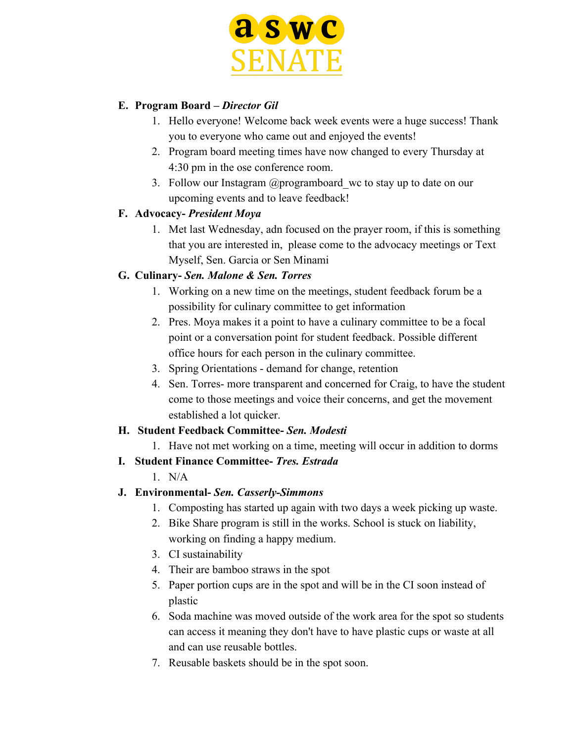

#### **E. Program Board –** *Director Gil*

- 1. Hello everyone! Welcome back week events were a huge success! Thank you to everyone who came out and enjoyed the events!
- 2. Program board meeting times have now changed to every Thursday at 4:30 pm in the ose conference room.
- 3. Follow our Instagram @programboard\_wc to stay up to date on our upcoming events and to leave feedback!

#### **F. Advocacy-** *President Moya*

1. Met last Wednesday, adn focused on the prayer room, if this is something that you are interested in, please come to the advocacy meetings or Text Myself, Sen. Garcia or Sen Minami

### **G. Culinary-** *Sen. Malone & Sen. Torres*

- 1. Working on a new time on the meetings, student feedback forum be a possibility for culinary committee to get information
- 2. Pres. Moya makes it a point to have a culinary committee to be a focal point or a conversation point for student feedback. Possible different office hours for each person in the culinary committee.
- 3. Spring Orientations demand for change, retention
- 4. Sen. Torres- more transparent and concerned for Craig, to have the student come to those meetings and voice their concerns, and get the movement established a lot quicker.

#### **H. Student Feedback Committee-** *Sen. Modesti*

- 1. Have not met working on a time, meeting will occur in addition to dorms
- **I. Student Finance Committee-** *Tres. Estrada*

### 1. N/A

- **J. Environmental-** *Sen. Casserly-Simmons*
	- 1. Composting has started up again with two days a week picking up waste.
	- 2. Bike Share program is still in the works. School is stuck on liability, working on finding a happy medium.
	- 3. CI sustainability
	- 4. Their are bamboo straws in the spot
	- 5. Paper portion cups are in the spot and will be in the CI soon instead of plastic
	- 6. Soda machine was moved outside of the work area for the spot so students can access it meaning they don't have to have plastic cups or waste at all and can use reusable bottles.
	- 7. Reusable baskets should be in the spot soon.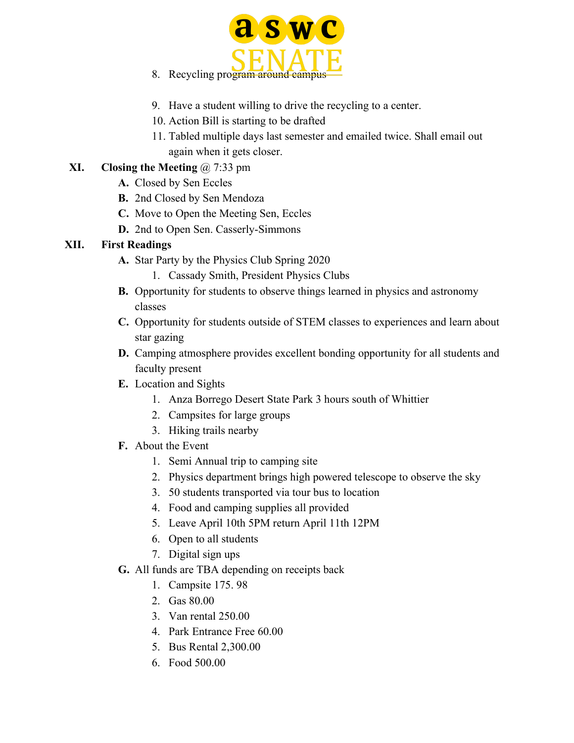

- 8. Recycling program around campus
- 9. Have a student willing to drive the recycling to a center.
- 10. Action Bill is starting to be drafted
- 11. Tabled multiple days last semester and emailed twice. Shall email out again when it gets closer.

### **XI. Closing the Meeting** @ 7:33 pm

- **A.** Closed by Sen Eccles
- **B.** 2nd Closed by Sen Mendoza
- **C.** Move to Open the Meeting Sen, Eccles
- **D.** 2nd to Open Sen. Casserly-Simmons

### **XII. First Readings**

- **A.** Star Party by the Physics Club Spring 2020
	- 1. Cassady Smith, President Physics Clubs
- **B.** Opportunity for students to observe things learned in physics and astronomy classes
- **C.** Opportunity for students outside of STEM classes to experiences and learn about star gazing
- **D.** Camping atmosphere provides excellent bonding opportunity for all students and faculty present
- **E.** Location and Sights
	- 1. Anza Borrego Desert State Park 3 hours south of Whittier
	- 2. Campsites for large groups
	- 3. Hiking trails nearby
- **F.** About the Event
	- 1. Semi Annual trip to camping site
	- 2. Physics department brings high powered telescope to observe the sky
	- 3. 50 students transported via tour bus to location
	- 4. Food and camping supplies all provided
	- 5. Leave April 10th 5PM return April 11th 12PM
	- 6. Open to all students
	- 7. Digital sign ups
- **G.** All funds are TBA depending on receipts back
	- 1. Campsite 175. 98
	- 2. Gas 80.00
	- 3. Van rental 250.00
	- 4. Park Entrance Free 60.00
	- 5. Bus Rental 2,300.00
	- 6. Food 500.00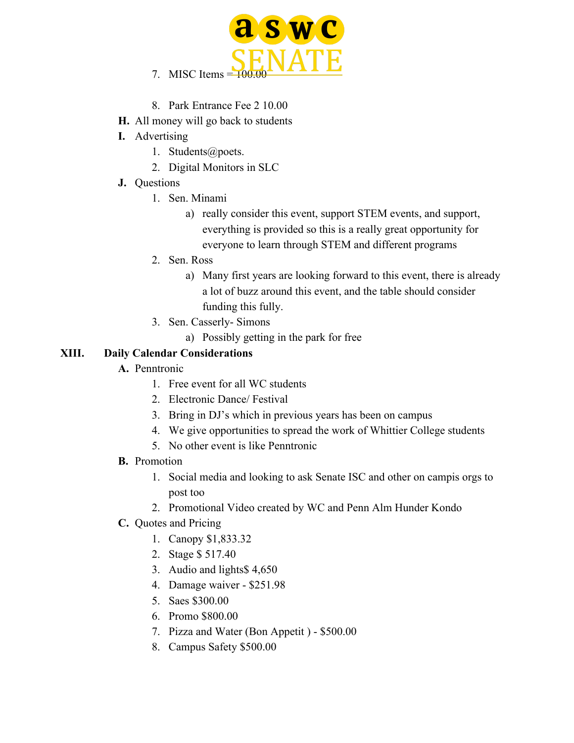

- 8. Park Entrance Fee 2 10.00
- **H.** All money will go back to students
- **I.** Advertising
	- 1. Students@poets.
	- 2. Digital Monitors in SLC
- **J.** Questions
	- 1. Sen. Minami
		- a) really consider this event, support STEM events, and support, everything is provided so this is a really great opportunity for everyone to learn through STEM and different programs
	- 2. Sen. Ross
		- a) Many first years are looking forward to this event, there is already a lot of buzz around this event, and the table should consider funding this fully.
	- 3. Sen. Casserly- Simons
		- a) Possibly getting in the park for free

### **XIII. Daily Calendar Considerations**

- **A.** Penntronic
	- 1. Free event for all WC students
	- 2. Electronic Dance/ Festival
	- 3. Bring in DJ's which in previous years has been on campus
	- 4. We give opportunities to spread the work of Whittier College students
	- 5. No other event is like Penntronic
- **B.** Promotion
	- 1. Social media and looking to ask Senate ISC and other on campis orgs to post too
	- 2. Promotional Video created by WC and Penn Alm Hunder Kondo
- **C.** Quotes and Pricing
	- 1. Canopy \$1,833.32
	- 2. Stage \$ 517.40
	- 3. Audio and lights\$ 4,650
	- 4. Damage waiver \$251.98
	- 5. Saes \$300.00
	- 6. Promo \$800.00
	- 7. Pizza and Water (Bon Appetit ) \$500.00
	- 8. Campus Safety \$500.00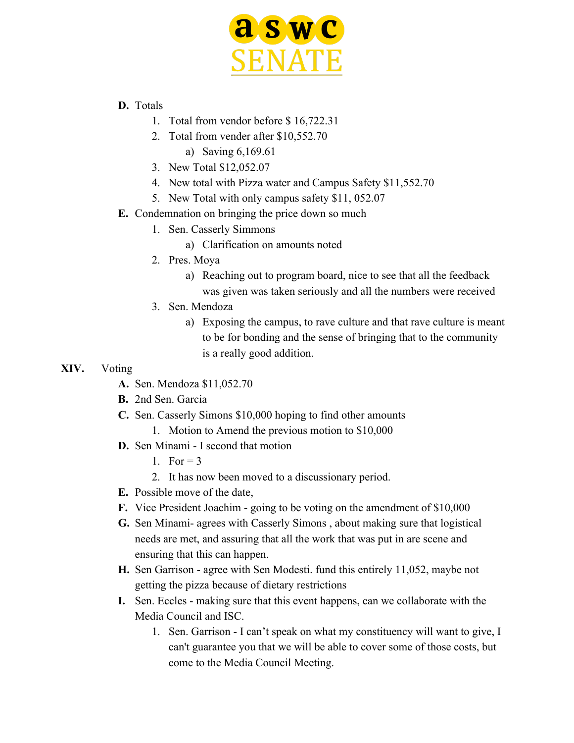

#### **D.** Totals

- 1. Total from vendor before \$ 16,722.31
- 2. Total from vender after \$10,552.70
	- a) Saving 6,169.61
- 3. New Total \$12,052.07
- 4. New total with Pizza water and Campus Safety \$11,552.70
- 5. New Total with only campus safety \$11, 052.07
- **E.** Condemnation on bringing the price down so much
	- 1. Sen. Casserly Simmons
		- a) Clarification on amounts noted
	- 2. Pres. Moya
		- a) Reaching out to program board, nice to see that all the feedback was given was taken seriously and all the numbers were received
	- 3. Sen. Mendoza
		- a) Exposing the campus, to rave culture and that rave culture is meant to be for bonding and the sense of bringing that to the community is a really good addition.

#### **XIV.** Voting

- **A.** Sen. Mendoza \$11,052.70
- **B.** 2nd Sen. Garcia
- **C.** Sen. Casserly Simons \$10,000 hoping to find other amounts
	- 1. Motion to Amend the previous motion to \$10,000
- **D.** Sen Minami I second that motion
	- 1 For  $= 3$
	- 2. It has now been moved to a discussionary period.
- **E.** Possible move of the date,
- **F.** Vice President Joachim going to be voting on the amendment of \$10,000
- **G.** Sen Minami- agrees with Casserly Simons , about making sure that logistical needs are met, and assuring that all the work that was put in are scene and ensuring that this can happen.
- **H.** Sen Garrison agree with Sen Modesti. fund this entirely 11,052, maybe not getting the pizza because of dietary restrictions
- **I.** Sen. Eccles making sure that this event happens, can we collaborate with the Media Council and ISC.
	- 1. Sen. Garrison I can't speak on what my constituency will want to give, I can't guarantee you that we will be able to cover some of those costs, but come to the Media Council Meeting.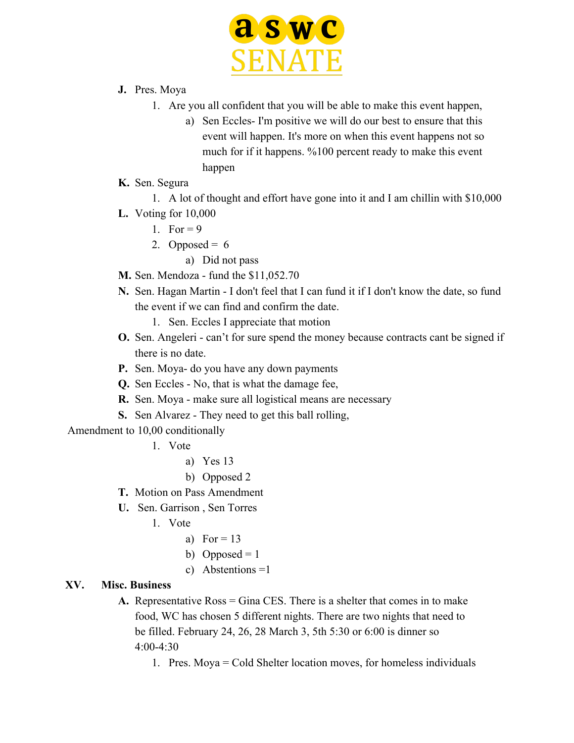

- **J.** Pres. Moya
	- 1. Are you all confident that you will be able to make this event happen,
		- a) Sen Eccles- I'm positive we will do our best to ensure that this event will happen. It's more on when this event happens not so much for if it happens. %100 percent ready to make this event happen
- **K.** Sen. Segura
	- 1. A lot of thought and effort have gone into it and I am chillin with \$10,000
- **L.** Voting for 10,000
	- 1. For  $= 9$
	- 2. Opposed =  $6$ 
		- a) Did not pass
- **M.** Sen. Mendoza fund the \$11,052.70
- **N.** Sen. Hagan Martin I don't feel that I can fund it if I don't know the date, so fund the event if we can find and confirm the date.
	- 1. Sen. Eccles I appreciate that motion
- **O.** Sen. Angeleri can't for sure spend the money because contracts cant be signed if there is no date.
- **P.** Sen. Moya- do you have any down payments
- **Q.** Sen Eccles No, that is what the damage fee,
- **R.** Sen. Moya make sure all logistical means are necessary
- **S.** Sen Alvarez They need to get this ball rolling,

Amendment to 10,00 conditionally

- 1. Vote
	- a) Yes 13
	- b) Opposed 2
- **T.** Motion on Pass Amendment
- **U.** Sen. Garrison , Sen Torres
	- 1. Vote
		- a) For  $= 13$
		- b) Opposed =  $1$
		- c) Abstentions =1

#### **XV. Misc. Business**

- **A.** Representative Ross = Gina CES. There is a shelter that comes in to make food, WC has chosen 5 different nights. There are two nights that need to be filled. February 24, 26, 28 March 3, 5th 5:30 or 6:00 is dinner so  $4.00 - 4.30$ 
	- 1. Pres. Moya = Cold Shelter location moves, for homeless individuals